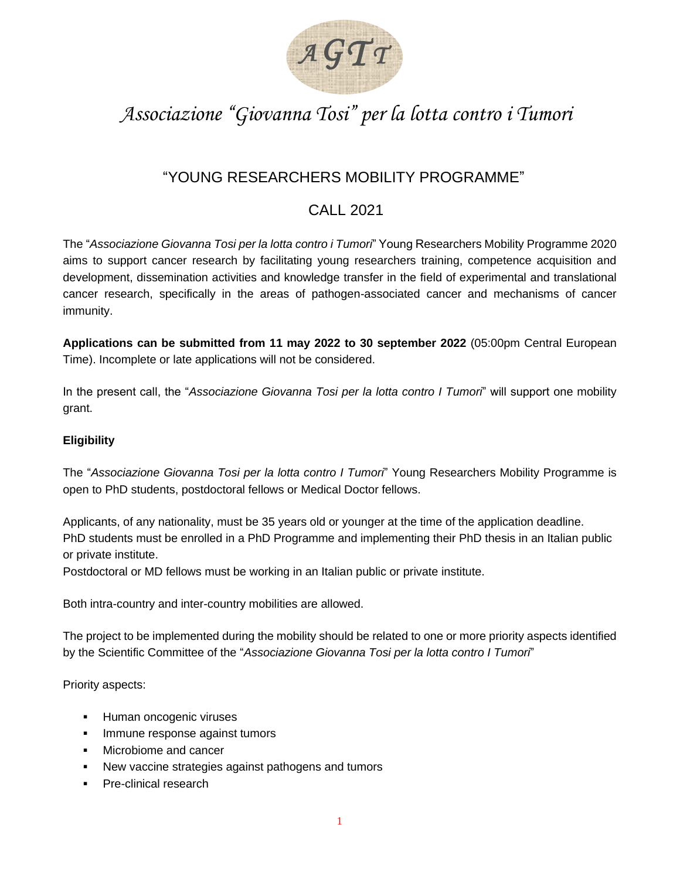

# *Associazione "Giovanna Tosi" per la lotta contro i Tumori*

# "YOUNG RESEARCHERS MOBILITY PROGRAMME"

# CALL 2021

The "*Associazione Giovanna Tosi per la lotta contro i Tumori*" Young Researchers Mobility Programme 2020 aims to support cancer research by facilitating young researchers training, competence acquisition and development, dissemination activities and knowledge transfer in the field of experimental and translational cancer research, specifically in the areas of pathogen-associated cancer and mechanisms of cancer immunity.

**Applications can be submitted from 11 may 2022 to 30 september 2022** (05:00pm Central European Time). Incomplete or late applications will not be considered.

In the present call, the "*Associazione Giovanna Tosi per la lotta contro I Tumori*" will support one mobility grant.

## **Eligibility**

The "*Associazione Giovanna Tosi per la lotta contro I Tumori*" Young Researchers Mobility Programme is open to PhD students, postdoctoral fellows or Medical Doctor fellows.

Applicants, of any nationality, must be 35 years old or younger at the time of the application deadline. PhD students must be enrolled in a PhD Programme and implementing their PhD thesis in an Italian public or private institute.

Postdoctoral or MD fellows must be working in an Italian public or private institute.

Both intra-country and inter-country mobilities are allowed.

The project to be implemented during the mobility should be related to one or more priority aspects identified by the Scientific Committee of the "*Associazione Giovanna Tosi per la lotta contro I Tumori*"

Priority aspects:

- **EXECUTE:** Human oncogenic viruses
- Immune response against tumors
- Microbiome and cancer
- New vaccine strategies against pathogens and tumors
- Pre-clinical research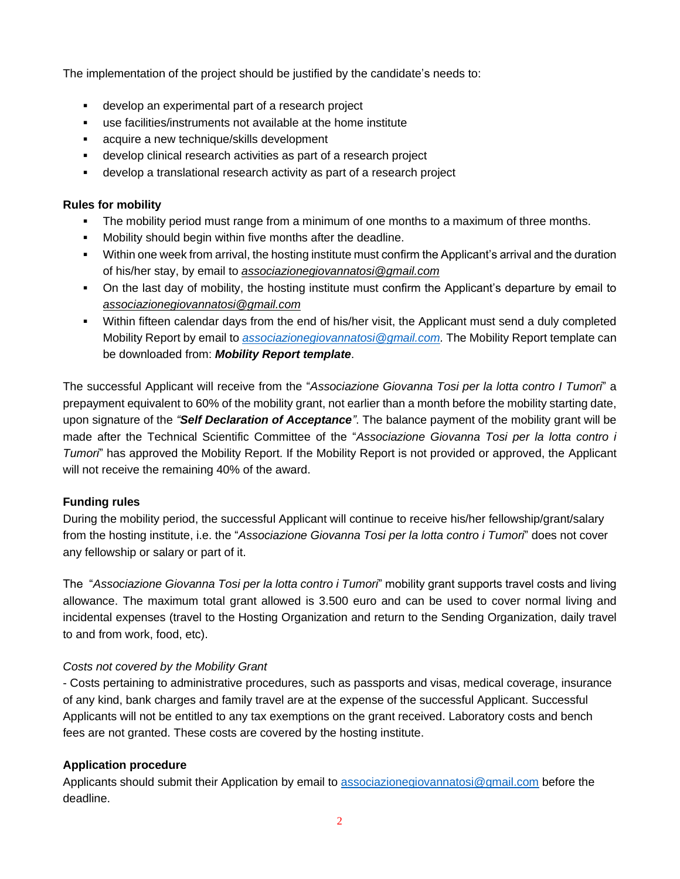The implementation of the project should be justified by the candidate's needs to:

- develop an experimental part of a research project
- use facilities/instruments not available at the home institute
- acquire a new technique/skills development
- develop clinical research activities as part of a research project
- develop a translational research activity as part of a research project

#### **Rules for mobility**

- **•** The mobility period must range from a minimum of one months to a maximum of three months.
- Mobility should begin within five months after the deadline.
- Within one week from arrival, the hosting institute must confirm the Applicant's arrival and the duration of his/her stay, by email to *associazionegiovannatosi@gmail.com*
- On the last day of mobility, the hosting institute must confirm the Applicant's departure by email to *associazionegiovannatosi@gmail.com*
- Within fifteen calendar days from the end of his/her visit, the Applicant must send a duly completed Mobility Report by email to *[associazionegiovannatosi@gmail.com.](mailto:associazionegiovannatosi@gmail.com)* The Mobility Report template can be downloaded from: *[Mobility Report template](http://www.fondazioneberlucchi.com/bandi/2017/docs/Report%20Template_MobilityProgramme.docx)*.

The successful Applicant will receive from the "*Associazione Giovanna Tosi per la lotta contro I Tumori*" a prepayment equivalent to 60% of the mobility grant, not earlier than a month before the mobility starting date, upon signature of the *"[Self Declaration of Acceptance](http://www.fondazioneberlucchi.com/bandi/2017/docs/Self%20Declaration%20of%20Acceptance.pdf)"*. The balance payment of the mobility grant will be made after the Technical Scientific Committee of the "*Associazione Giovanna Tosi per la lotta contro i Tumori*" has approved the Mobility Report. If the Mobility Report is not provided or approved, the Applicant will not receive the remaining 40% of the award.

## **Funding rules**

During the mobility period, the successful Applicant will continue to receive his/her fellowship/grant/salary from the hosting institute, i.e. the "*Associazione Giovanna Tosi per la lotta contro i Tumori*" does not cover any fellowship or salary or part of it.

The "*Associazione Giovanna Tosi per la lotta contro i Tumori*" mobility grant supports travel costs and living allowance. The maximum total grant allowed is 3.500 euro and can be used to cover normal living and incidental expenses (travel to the Hosting Organization and return to the Sending Organization, daily travel to and from work, food, etc).

## *Costs not covered by the Mobility Grant*

- Costs pertaining to administrative procedures, such as passports and visas, medical coverage, insurance of any kind, bank charges and family travel are at the expense of the successful Applicant. Successful Applicants will not be entitled to any tax exemptions on the grant received. Laboratory costs and bench fees are not granted. These costs are covered by the hosting institute.

## **Application procedure**

Applicants should submit their Application by email to [associazionegiovannatosi@gmail.com](mailto:associazionegiovannatosi@gmail.com) before the deadline.